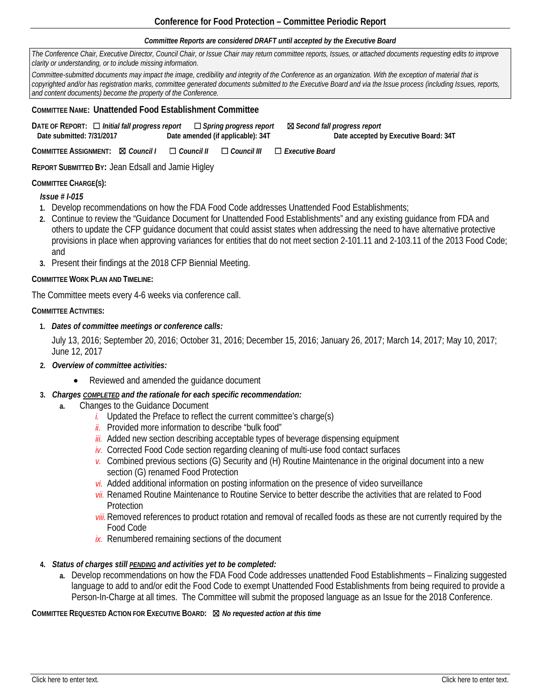## **Conference for Food Protection – Committee Periodic Report**

## *Committee Reports are considered DRAFT until accepted by the Executive Board*

| Committee Reports are considered DRAFT until accepted by the Executive Board                                                                                                                                                                                                                                                                                                                                                                                                                                                                                                                                                                                                                                                                                                                                                                |
|---------------------------------------------------------------------------------------------------------------------------------------------------------------------------------------------------------------------------------------------------------------------------------------------------------------------------------------------------------------------------------------------------------------------------------------------------------------------------------------------------------------------------------------------------------------------------------------------------------------------------------------------------------------------------------------------------------------------------------------------------------------------------------------------------------------------------------------------|
| The Conference Chair, Executive Director, Council Chair, or Issue Chair may return committee reports, Issues, or attached documents requesting edits to improve<br>clarity or understanding, or to include missing information.                                                                                                                                                                                                                                                                                                                                                                                                                                                                                                                                                                                                             |
| Committee-submitted documents may impact the image, credibility and integrity of the Conference as an organization. With the exception of material that is<br>copyrighted and/or has registration marks, committee generated documents submitted to the Executive Board and via the Issue process (including Issues, reports,<br>and content documents) become the property of the Conference.                                                                                                                                                                                                                                                                                                                                                                                                                                              |
| COMMITTEE NAME: Unattended Food Establishment Committee                                                                                                                                                                                                                                                                                                                                                                                                                                                                                                                                                                                                                                                                                                                                                                                     |
| DATE OF REPORT: □ Initial fall progress report<br>$\Box$ Spring progress report<br>⊠ Second fall progress report<br>Date submitted: 7/31/2017<br>Date amended (if applicable): 34T<br>Date accepted by Executive Board: 34T                                                                                                                                                                                                                                                                                                                                                                                                                                                                                                                                                                                                                 |
| COMMITTEE ASSIGNMENT: <b>⊠</b> Council   □ Council   <br>$\Box$ Executive Board<br>$\Box$ Council III                                                                                                                                                                                                                                                                                                                                                                                                                                                                                                                                                                                                                                                                                                                                       |
| REPORT SUBMITTED BY: Jean Edsall and Jamie Higley                                                                                                                                                                                                                                                                                                                                                                                                                                                                                                                                                                                                                                                                                                                                                                                           |
| <b>COMMITTEE CHARGE(S):</b><br>Issue #1-015<br>1. Develop recommendations on how the FDA Food Code addresses Unattended Food Establishments;<br>2. Continue to review the "Guidance Document for Unattended Food Establishments" and any existing guidance from FDA and                                                                                                                                                                                                                                                                                                                                                                                                                                                                                                                                                                     |
| others to update the CFP guidance document that could assist states when addressing the need to have alternative protective<br>provisions in place when approving variances for entities that do not meet section 2-101.11 and 2-103.11 of the 2013 Food Code;<br>and<br>3. Present their findings at the 2018 CFP Biennial Meeting.                                                                                                                                                                                                                                                                                                                                                                                                                                                                                                        |
| <b>COMMITTEE WORK PLAN AND TIMELINE:</b>                                                                                                                                                                                                                                                                                                                                                                                                                                                                                                                                                                                                                                                                                                                                                                                                    |
| The Committee meets every 4-6 weeks via conference call.                                                                                                                                                                                                                                                                                                                                                                                                                                                                                                                                                                                                                                                                                                                                                                                    |
| <b>COMMITTEE ACTIVITIES:</b>                                                                                                                                                                                                                                                                                                                                                                                                                                                                                                                                                                                                                                                                                                                                                                                                                |
| Dates of committee meetings or conference calls:<br>1.                                                                                                                                                                                                                                                                                                                                                                                                                                                                                                                                                                                                                                                                                                                                                                                      |
| July 13, 2016; September 20, 2016; October 31, 2016; December 15, 2016; January 26, 2017; March 14, 2017; May 10, 2017;<br>June 12, 2017                                                                                                                                                                                                                                                                                                                                                                                                                                                                                                                                                                                                                                                                                                    |
| 2. Overview of committee activities:                                                                                                                                                                                                                                                                                                                                                                                                                                                                                                                                                                                                                                                                                                                                                                                                        |
| Reviewed and amended the guidance document<br>$\bullet$                                                                                                                                                                                                                                                                                                                                                                                                                                                                                                                                                                                                                                                                                                                                                                                     |
| Charges COMPLETED and the rationale for each specific recommendation:<br>3.<br>Changes to the Guidance Document<br>a.<br>Updated the Preface to reflect the current committee's charge(s)<br><i>ii.</i> Provided more information to describe "bulk food"<br>iii. Added new section describing acceptable types of beverage dispensing equipment<br>iv. Corrected Food Code section regarding cleaning of multi-use food contact surfaces<br>$\mathbf{v}$ . Combined previous sections (G) Security and (H) Routine Maintenance in the original document into a new<br>section (G) renamed Food Protection<br>vi. Added additional information on posting information on the presence of video surveillance<br>vii. Renamed Routine Maintenance to Routine Service to better describe the activities that are related to Food<br>Protection |
| viii. Removed references to product rotation and removal of recalled foods as these are not currently required by the                                                                                                                                                                                                                                                                                                                                                                                                                                                                                                                                                                                                                                                                                                                       |

- Food Code
- *ix.* Renumbered remaining sections of the document
- **4.** *Status of charges still PENDING and activities yet to be completed:*
	- **a.** Develop recommendations on how the FDA Food Code addresses unattended Food Establishments Finalizing suggested language to add to and/or edit the Food Code to exempt Unattended Food Establishments from being required to provide a Person-In-Charge at all times. The Committee will submit the proposed language as an Issue for the 2018 Conference.

## **COMMITTEE REQUESTED ACTION FOR EXECUTIVE BOARD:** ☒ *No requested action at this time*